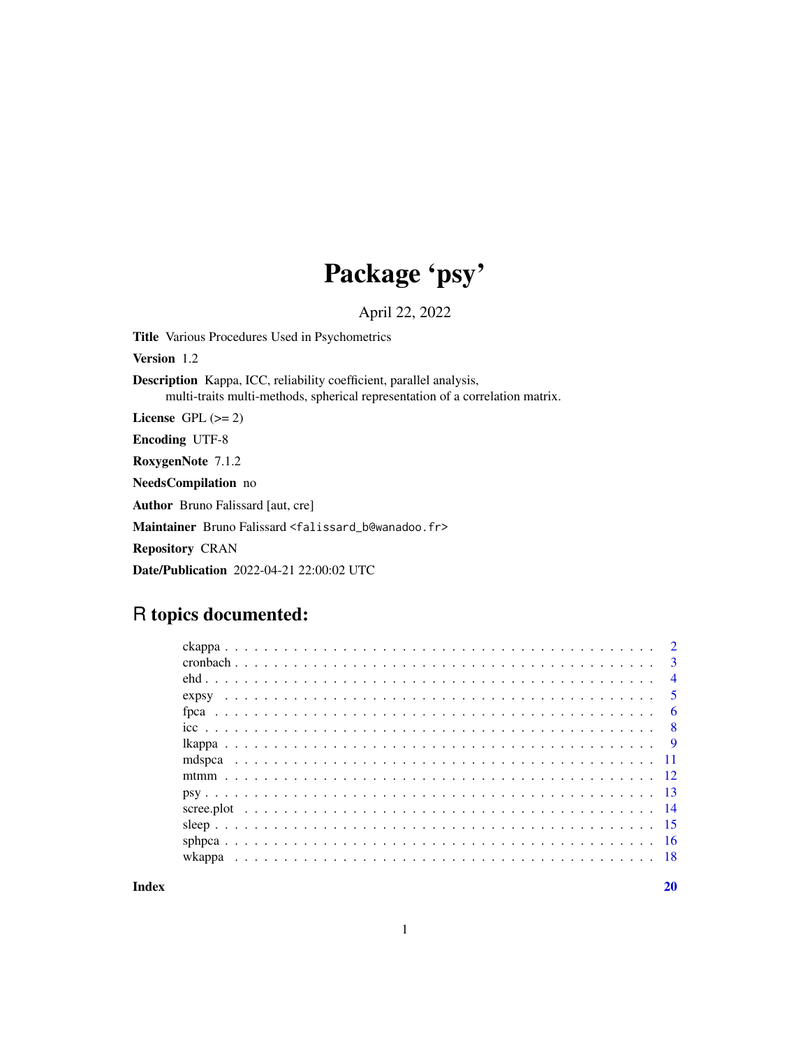# Package 'psy'

April 22, 2022

Title Various Procedures Used in Psychometrics

Version 1.2

Description Kappa, ICC, reliability coefficient, parallel analysis, multi-traits multi-methods, spherical representation of a correlation matrix.

License GPL  $(>= 2)$ 

Encoding UTF-8

RoxygenNote 7.1.2

NeedsCompilation no

Author Bruno Falissard [aut, cre]

Maintainer Bruno Falissard <falissard\_b@wanadoo.fr>

Repository CRAN

Date/Publication 2022-04-21 22:00:02 UTC

# R topics documented:

|  |  | $\mathcal{D}$  |
|--|--|----------------|
|  |  | $\mathbf{3}$   |
|  |  | $\overline{4}$ |
|  |  | $\overline{5}$ |
|  |  | -6             |
|  |  | - 8            |
|  |  |                |
|  |  |                |
|  |  |                |
|  |  |                |
|  |  |                |
|  |  |                |
|  |  |                |
|  |  |                |
|  |  |                |

 $\bf 1$ ndex  $\bf 20$  $\bf 20$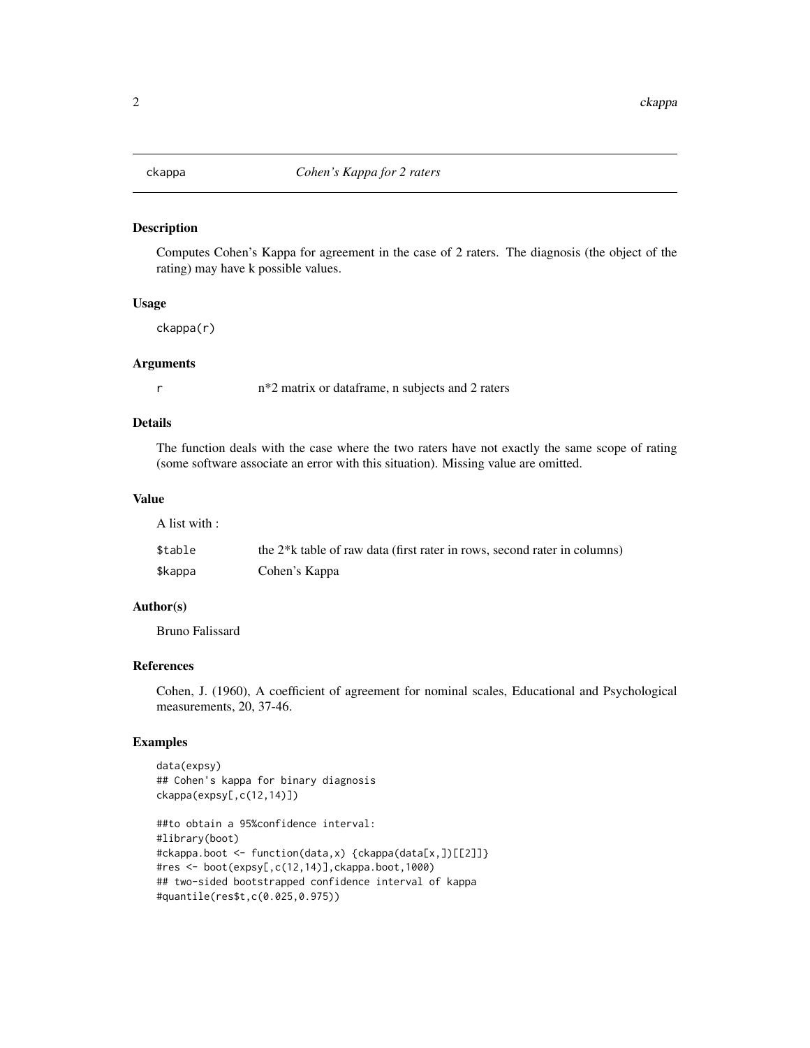<span id="page-1-0"></span>

#### Description

Computes Cohen's Kappa for agreement in the case of 2 raters. The diagnosis (the object of the rating) may have k possible values.

#### Usage

ckappa(r)

#### **Arguments**

r n\*2 matrix or dataframe, n subjects and 2 raters

# Details

The function deals with the case where the two raters have not exactly the same scope of rating (some software associate an error with this situation). Missing value are omitted.

#### Value

A list with :

| \$table | the 2 <sup>*</sup> k table of raw data (first rater in rows, second rater in columns) |
|---------|---------------------------------------------------------------------------------------|
| \$kappa | Cohen's Kappa                                                                         |

# Author(s)

Bruno Falissard

### References

Cohen, J. (1960), A coefficient of agreement for nominal scales, Educational and Psychological measurements, 20, 37-46.

```
data(expsy)
## Cohen's kappa for binary diagnosis
ckappa(expsy[,c(12,14)])
```

```
##to obtain a 95%confidence interval:
#library(boot)
#ckappa.boot <- function(data,x) {ckappa(data[x,])[[2]]}
#res <- boot(expsy[,c(12,14)],ckappa.boot,1000)
## two-sided bootstrapped confidence interval of kappa
#quantile(res$t,c(0.025,0.975))
```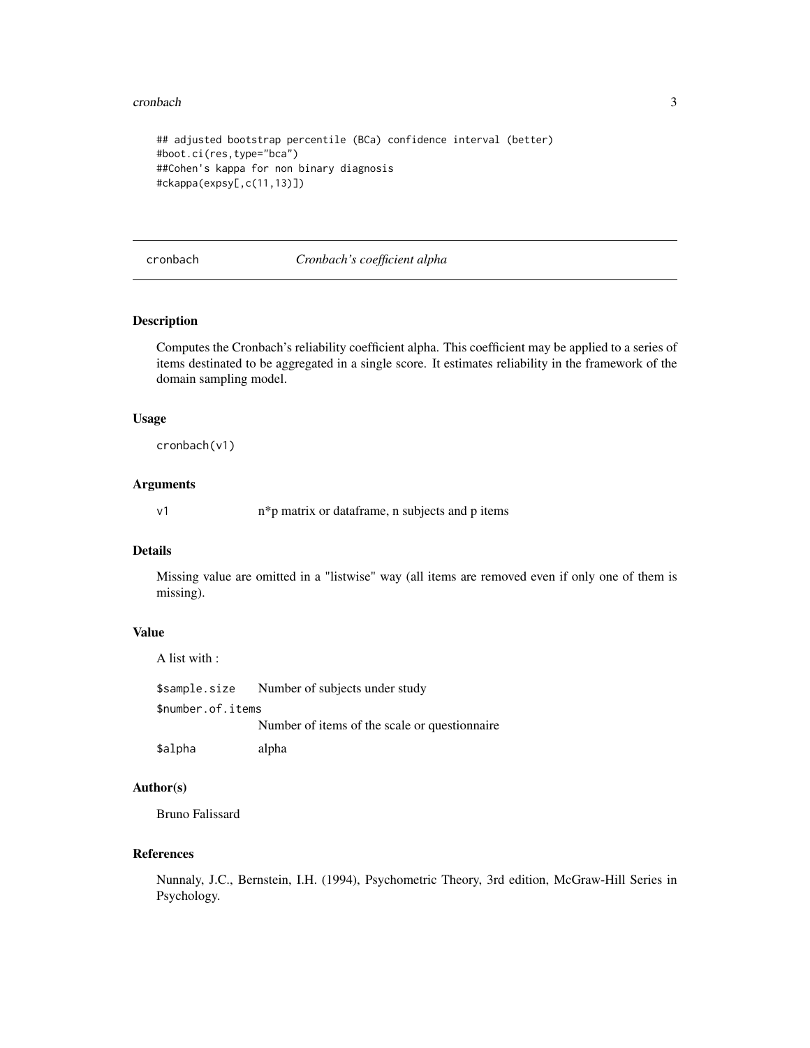#### <span id="page-2-0"></span>cronbach 3

```
## adjusted bootstrap percentile (BCa) confidence interval (better)
#boot.ci(res,type="bca")
##Cohen's kappa for non binary diagnosis
#ckappa(expsy[,c(11,13)])
```
cronbach *Cronbach's coefficient alpha*

# Description

Computes the Cronbach's reliability coefficient alpha. This coefficient may be applied to a series of items destinated to be aggregated in a single score. It estimates reliability in the framework of the domain sampling model.

#### Usage

cronbach(v1)

#### Arguments

v1 n\*p matrix or dataframe, n subjects and p items

#### Details

Missing value are omitted in a "listwise" way (all items are removed even if only one of them is missing).

#### Value

\$sample.size Number of subjects under study \$number.of.items Number of items of the scale or questionnaire \$alpha alpha

# Author(s)

Bruno Falissard

A list with :

#### References

Nunnaly, J.C., Bernstein, I.H. (1994), Psychometric Theory, 3rd edition, McGraw-Hill Series in Psychology.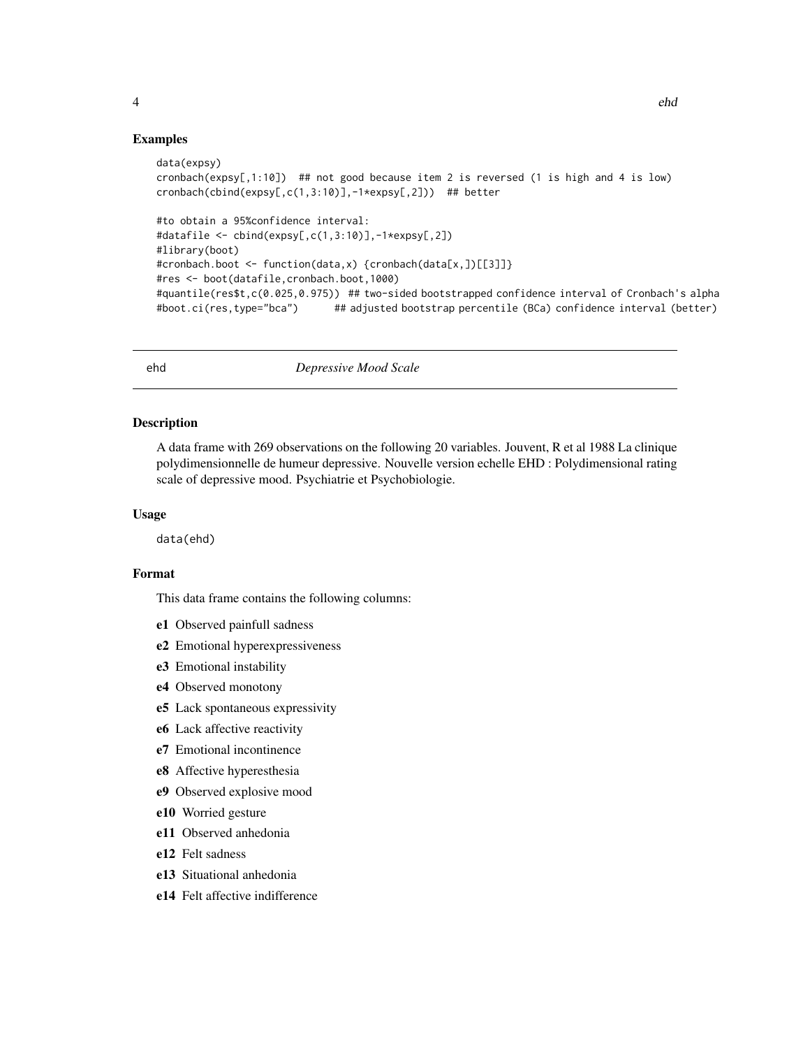#### <span id="page-3-0"></span>Examples

```
data(expsy)
cronbach(expsy[,1:10]) ## not good because item 2 is reversed (1 is high and 4 is low)
cronbach(cbind(expsy[,c(1,3:10)],-1*expsy[,2])) ## better
#to obtain a 95%confidence interval:
#datafile <- cbind(expsy[,c(1,3:10)],-1*expsy[,2])
#library(boot)
#cronbach.boot <- function(data,x) {cronbach(data[x,])[[3]]}
#res <- boot(datafile,cronbach.boot,1000)
#quantile(res$t,c(0.025,0.975)) ## two-sided bootstrapped confidence interval of Cronbach's alpha
#boot.ci(res,type="bca") ## adjusted bootstrap percentile (BCa) confidence interval (better)
```
ehd *Depressive Mood Scale*

#### Description

A data frame with 269 observations on the following 20 variables. Jouvent, R et al 1988 La clinique polydimensionnelle de humeur depressive. Nouvelle version echelle EHD : Polydimensional rating scale of depressive mood. Psychiatrie et Psychobiologie.

#### Usage

data(ehd)

# Format

This data frame contains the following columns:

- e1 Observed painfull sadness
- e2 Emotional hyperexpressiveness
- e3 Emotional instability
- e4 Observed monotony
- e5 Lack spontaneous expressivity
- e6 Lack affective reactivity
- e7 Emotional incontinence
- e8 Affective hyperesthesia
- e9 Observed explosive mood
- e10 Worried gesture
- e11 Observed anhedonia
- e12 Felt sadness
- e13 Situational anhedonia
- e14 Felt affective indifference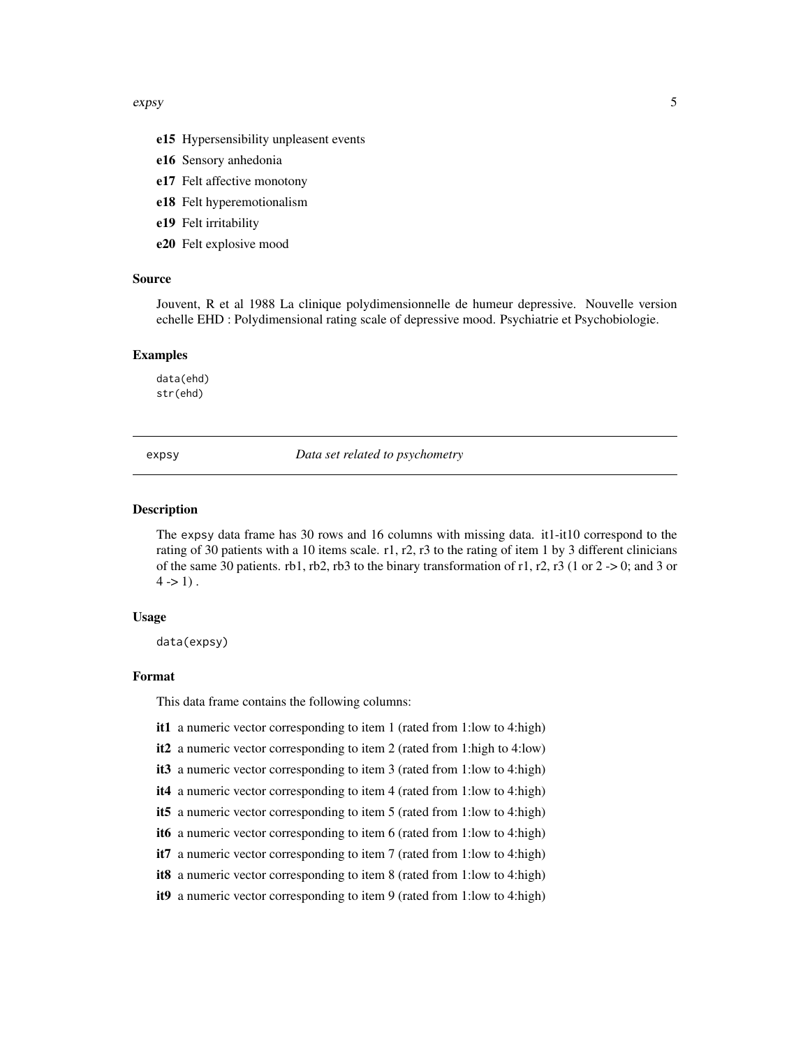#### <span id="page-4-0"></span>expsy 5

- e15 Hypersensibility unpleasent events
- e16 Sensory anhedonia
- e17 Felt affective monotony
- e18 Felt hyperemotionalism
- e19 Felt irritability
- e20 Felt explosive mood

#### Source

Jouvent, R et al 1988 La clinique polydimensionnelle de humeur depressive. Nouvelle version echelle EHD : Polydimensional rating scale of depressive mood. Psychiatrie et Psychobiologie.

#### Examples

data(ehd) str(ehd)

expsy *Data set related to psychometry*

#### Description

The expsy data frame has 30 rows and 16 columns with missing data. it1-it10 correspond to the rating of 30 patients with a 10 items scale. r1, r2, r3 to the rating of item 1 by 3 different clinicians of the same 30 patients. rb1, rb2, rb3 to the binary transformation of r1, r2, r3 (1 or  $2 \rightarrow 0$ ; and 3 or  $4 - 1$ .

#### Usage

data(expsy)

# Format

This data frame contains the following columns:

- it1 a numeric vector corresponding to item 1 (rated from 1:low to 4:high)
- it2 a numeric vector corresponding to item 2 (rated from 1:high to 4:low)
- it3 a numeric vector corresponding to item 3 (rated from 1:low to 4:high)
- it4 a numeric vector corresponding to item 4 (rated from 1:low to 4:high)
- it5 a numeric vector corresponding to item 5 (rated from 1:low to 4:high)
- it6 a numeric vector corresponding to item 6 (rated from 1:low to 4:high)
- it7 a numeric vector corresponding to item 7 (rated from 1:low to 4:high)
- it8 a numeric vector corresponding to item 8 (rated from 1:low to 4:high)
- it9 a numeric vector corresponding to item 9 (rated from 1:low to 4:high)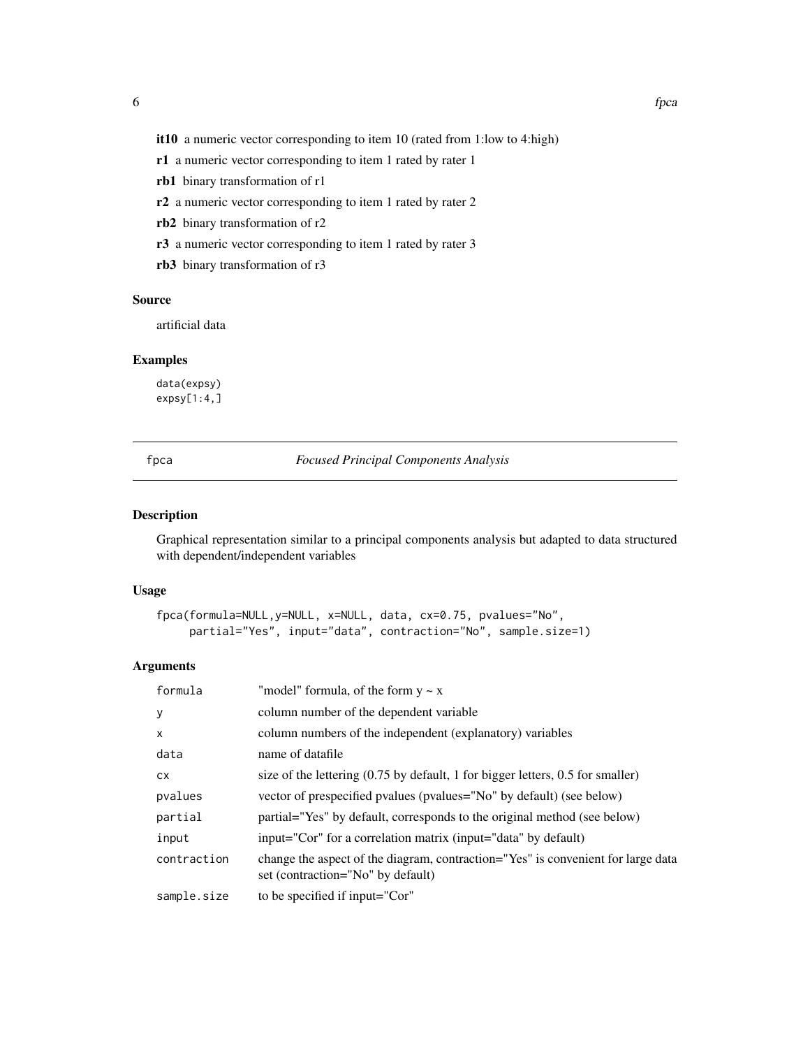<span id="page-5-0"></span>it10 a numeric vector corresponding to item 10 (rated from 1:low to 4:high)

- r1 a numeric vector corresponding to item 1 rated by rater 1
- rb1 binary transformation of r1
- r2 a numeric vector corresponding to item 1 rated by rater 2
- rb2 binary transformation of r2
- r3 a numeric vector corresponding to item 1 rated by rater 3
- rb3 binary transformation of r3

#### Source

artificial data

# Examples

data(expsy)  $expsy[1:4]$ 

fpca *Focused Principal Components Analysis*

# Description

Graphical representation similar to a principal components analysis but adapted to data structured with dependent/independent variables

#### Usage

```
fpca(formula=NULL,y=NULL, x=NULL, data, cx=0.75, pvalues="No",
     partial="Yes", input="data", contraction="No", sample.size=1)
```

| formula     | "model" formula, of the form $y \sim x$                                                                               |
|-------------|-----------------------------------------------------------------------------------------------------------------------|
| y           | column number of the dependent variable                                                                               |
| $\times$    | column numbers of the independent (explanatory) variables                                                             |
| data        | name of datafile                                                                                                      |
| <b>CX</b>   | size of the lettering $(0.75 \text{ by default}, 1 \text{ for bigger letters}, 0.5 \text{ for smaller})$              |
| pvalues     | vector of prespecified pvalues (pvalues="No" by default) (see below)                                                  |
| partial     | partial="Yes" by default, corresponds to the original method (see below)                                              |
| input       | input="Cor" for a correlation matrix (input="data" by default)                                                        |
| contraction | change the aspect of the diagram, contraction="Yes" is convenient for large data<br>set (contraction="No" by default) |
| sample.size | to be specified if input="Cor"                                                                                        |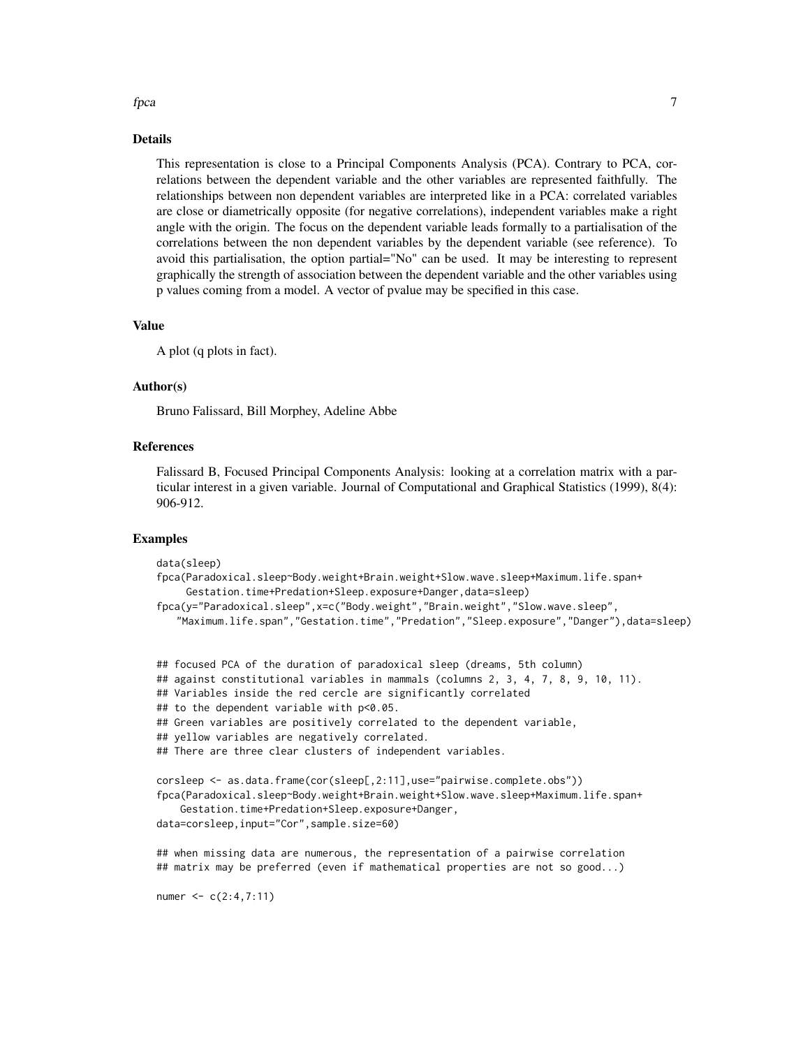# fpca *7*

#### Details

This representation is close to a Principal Components Analysis (PCA). Contrary to PCA, correlations between the dependent variable and the other variables are represented faithfully. The relationships between non dependent variables are interpreted like in a PCA: correlated variables are close or diametrically opposite (for negative correlations), independent variables make a right angle with the origin. The focus on the dependent variable leads formally to a partialisation of the correlations between the non dependent variables by the dependent variable (see reference). To avoid this partialisation, the option partial="No" can be used. It may be interesting to represent graphically the strength of association between the dependent variable and the other variables using p values coming from a model. A vector of pvalue may be specified in this case.

# Value

A plot (q plots in fact).

#### Author(s)

Bruno Falissard, Bill Morphey, Adeline Abbe

# References

Falissard B, Focused Principal Components Analysis: looking at a correlation matrix with a particular interest in a given variable. Journal of Computational and Graphical Statistics (1999), 8(4): 906-912.

```
data(sleep)
fpca(Paradoxical.sleep~Body.weight+Brain.weight+Slow.wave.sleep+Maximum.life.span+
     Gestation.time+Predation+Sleep.exposure+Danger,data=sleep)
fpca(y="Paradoxical.sleep",x=c("Body.weight","Brain.weight","Slow.wave.sleep",
   "Maximum.life.span","Gestation.time","Predation","Sleep.exposure","Danger"),data=sleep)
## focused PCA of the duration of paradoxical sleep (dreams, 5th column)
## against constitutional variables in mammals (columns 2, 3, 4, 7, 8, 9, 10, 11).
## Variables inside the red cercle are significantly correlated
## to the dependent variable with p<0.05.
## Green variables are positively correlated to the dependent variable,
## yellow variables are negatively correlated.
## There are three clear clusters of independent variables.
corsleep <- as.data.frame(cor(sleep[,2:11],use="pairwise.complete.obs"))
fpca(Paradoxical.sleep~Body.weight+Brain.weight+Slow.wave.sleep+Maximum.life.span+
    Gestation.time+Predation+Sleep.exposure+Danger,
data=corsleep,input="Cor",sample.size=60)
## when missing data are numerous, the representation of a pairwise correlation
## matrix may be preferred (even if mathematical properties are not so good...)
numer <- c(2:4,7:11)
```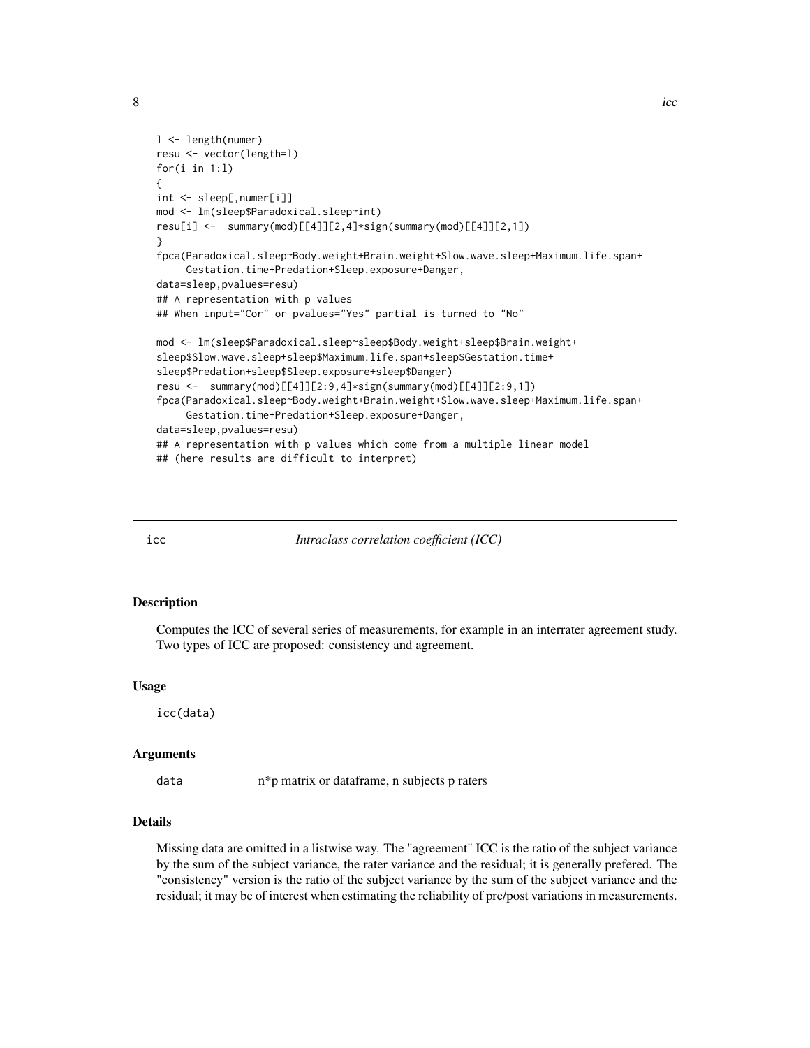```
l <- length(numer)
resu <- vector(length=l)
for(i in 1:l)
{
int <- sleep[,numer[i]]
mod <- lm(sleep$Paradoxical.sleep~int)
resu[i] <- summary(mod)[[4]][2,4]*sign(summary(mod)[[4]][2,1])
}
fpca(Paradoxical.sleep~Body.weight+Brain.weight+Slow.wave.sleep+Maximum.life.span+
     Gestation.time+Predation+Sleep.exposure+Danger,
data=sleep,pvalues=resu)
## A representation with p values
## When input="Cor" or pvalues="Yes" partial is turned to "No"
mod <- lm(sleep$Paradoxical.sleep~sleep$Body.weight+sleep$Brain.weight+
sleep$Slow.wave.sleep+sleep$Maximum.life.span+sleep$Gestation.time+
sleep$Predation+sleep$Sleep.exposure+sleep$Danger)
resu <- summary(mod)[[4]][2:9,4]*sign(summary(mod)[[4]][2:9,1])
fpca(Paradoxical.sleep~Body.weight+Brain.weight+Slow.wave.sleep+Maximum.life.span+
     Gestation.time+Predation+Sleep.exposure+Danger,
data=sleep,pvalues=resu)
## A representation with p values which come from a multiple linear model
## (here results are difficult to interpret)
```
icc *Intraclass correlation coefficient (ICC)*

#### Description

Computes the ICC of several series of measurements, for example in an interrater agreement study. Two types of ICC are proposed: consistency and agreement.

#### Usage

icc(data)

#### Arguments

data n\*p matrix or dataframe, n subjects p raters

# Details

Missing data are omitted in a listwise way. The "agreement" ICC is the ratio of the subject variance by the sum of the subject variance, the rater variance and the residual; it is generally prefered. The "consistency" version is the ratio of the subject variance by the sum of the subject variance and the residual; it may be of interest when estimating the reliability of pre/post variations in measurements.

<span id="page-7-0"></span>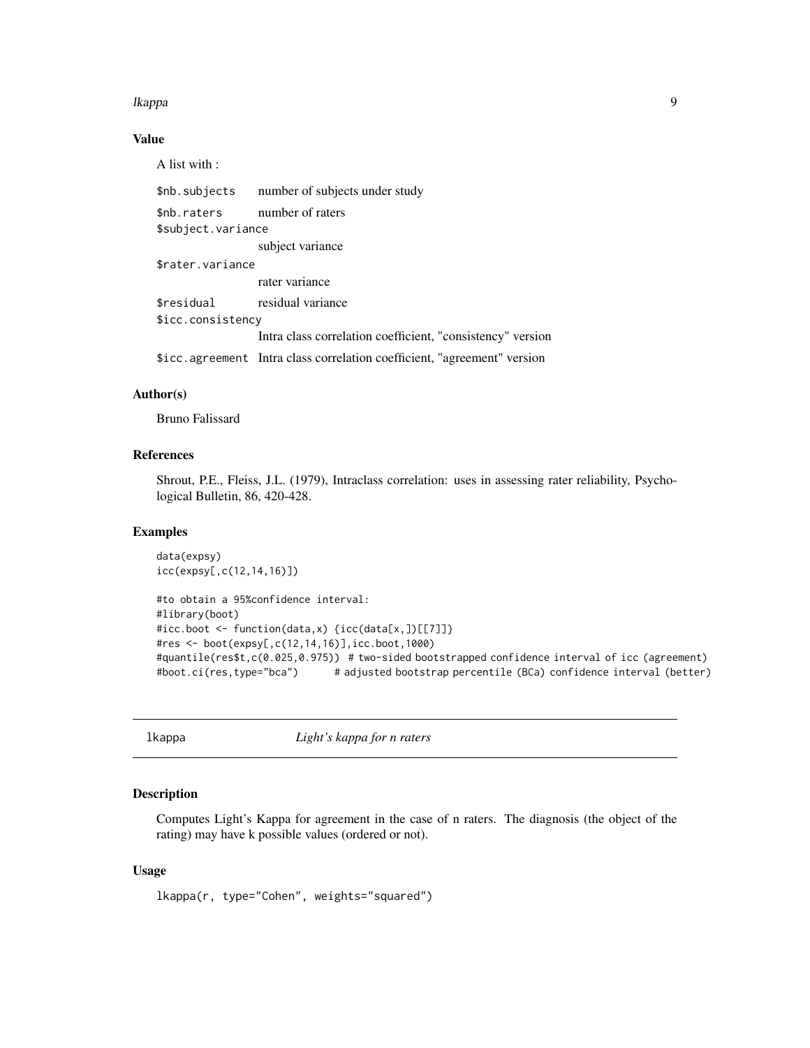#### <span id="page-8-0"></span>lkappa 1999 - 1999 - 1999 - 1999 - 1999 - 1999 - 1999 - 1999 - 1999 - 1999 - 1999 - 1999 - 1999 - 1999 - 1999

# Value

A list with :

|                    | \$nb. subjects number of subjects under study                            |  |
|--------------------|--------------------------------------------------------------------------|--|
| \$nb.raters        | number of raters                                                         |  |
| \$subject.variance |                                                                          |  |
|                    | subject variance                                                         |  |
| \$rater.variance   |                                                                          |  |
|                    | rater variance                                                           |  |
| \$residual         | residual variance                                                        |  |
| \$icc.consistency  |                                                                          |  |
|                    | Intra class correlation coefficient, "consistency" version               |  |
|                    | \$icc.agreement Intra class correlation coefficient, "agreement" version |  |

# Author(s)

Bruno Falissard

# References

Shrout, P.E., Fleiss, J.L. (1979), Intraclass correlation: uses in assessing rater reliability, Psychological Bulletin, 86, 420-428.

# Examples

```
data(expsy)
icc(expsy[,c(12,14,16)])
```

```
#to obtain a 95%confidence interval:
#library(boot)
#icc.boot <- function(data,x) {icc(data[x,])[[7]]}
#res <- boot(expsy[,c(12,14,16)],icc.boot,1000)
#quantile(res$t,c(0.025,0.975)) # two-sided bootstrapped confidence interval of icc (agreement)
#boot.ci(res,type="bca") # adjusted bootstrap percentile (BCa) confidence interval (better)
```

```
lkappa Light's kappa for n raters
```
# Description

Computes Light's Kappa for agreement in the case of n raters. The diagnosis (the object of the rating) may have k possible values (ordered or not).

#### Usage

lkappa(r, type="Cohen", weights="squared")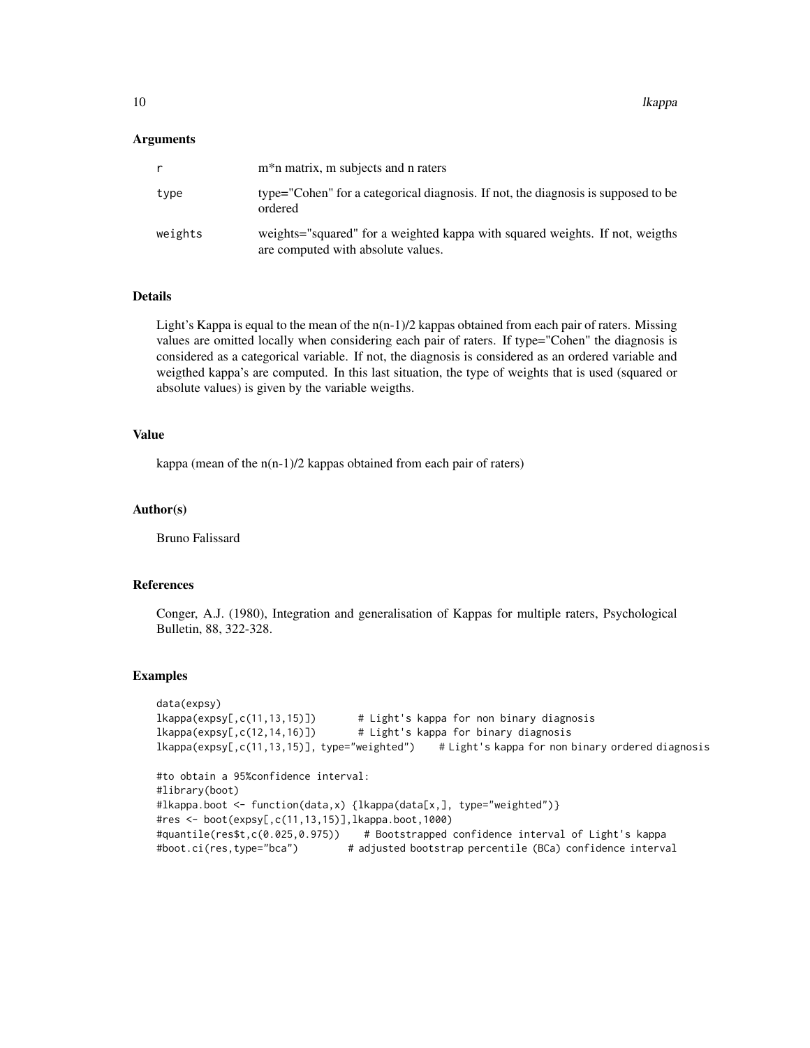#### Arguments

|         | m <sup>*</sup> n matrix, m subjects and n raters                                                                   |
|---------|--------------------------------------------------------------------------------------------------------------------|
| type    | type="Cohen" for a categorical diagnosis. If not, the diagnosis is supposed to be<br>ordered                       |
| weights | weights="squared" for a weighted kappa with squared weights. If not, weights<br>are computed with absolute values. |

#### Details

Light's Kappa is equal to the mean of the  $n(n-1)/2$  kappas obtained from each pair of raters. Missing values are omitted locally when considering each pair of raters. If type="Cohen" the diagnosis is considered as a categorical variable. If not, the diagnosis is considered as an ordered variable and weigthed kappa's are computed. In this last situation, the type of weights that is used (squared or absolute values) is given by the variable weigths.

#### Value

kappa (mean of the n(n-1)/2 kappas obtained from each pair of raters)

#### Author(s)

Bruno Falissard

#### References

Conger, A.J. (1980), Integration and generalisation of Kappas for multiple raters, Psychological Bulletin, 88, 322-328.

```
data(expsy)
lkappa(expsy[,c(11,13,15)]) # Light's kappa for non binary diagnosis
lkappa(expsy[,c(12,14,16)]) # Light's kappa for binary diagnosis
lkappa(expsy[,c(11,13,15)], type="weighted") # Light's kappa for non binary ordered diagnosis
#to obtain a 95%confidence interval:
#library(boot)
#lkappa.boot <- function(data,x) {lkappa(data[x,], type="weighted")}
#res <- boot(expsy[,c(11,13,15)],lkappa.boot,1000)
#quantile(res$t,c(0.025,0.975)) # Bootstrapped confidence interval of Light's kappa
#boot.ci(res,type="bca") # adjusted bootstrap percentile (BCa) confidence interval
```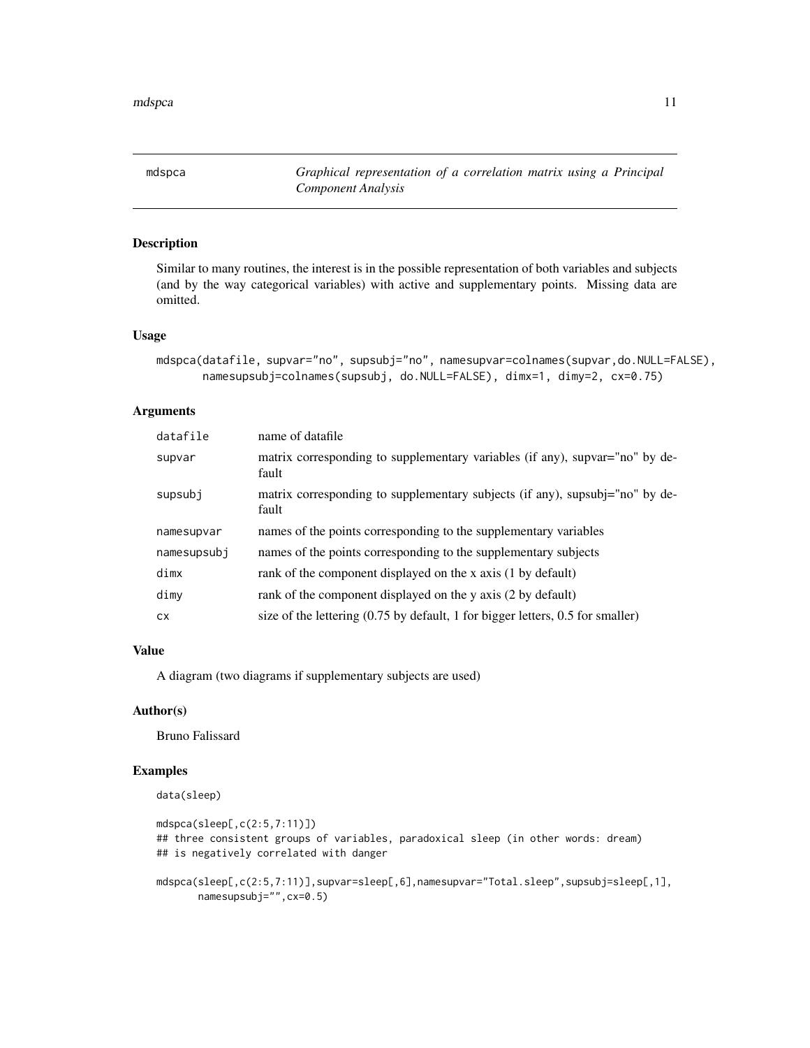<span id="page-10-0"></span>mdspca *Graphical representation of a correlation matrix using a Principal Component Analysis*

#### Description

Similar to many routines, the interest is in the possible representation of both variables and subjects (and by the way categorical variables) with active and supplementary points. Missing data are omitted.

#### Usage

```
mdspca(datafile, supvar="no", supsubj="no", namesupvar=colnames(supvar,do.NULL=FALSE),
       namesupsubj=colnames(supsubj, do.NULL=FALSE), dimx=1, dimy=2, cx=0.75)
```
#### Arguments

| datafile    | name of datafile                                                                                         |
|-------------|----------------------------------------------------------------------------------------------------------|
| supvar      | matrix corresponding to supplementary variables (if any), supvar="no" by de-<br>fault                    |
| supsubj     | matrix corresponding to supplementary subjects (if any), supsubj="no" by de-<br>fault                    |
| namesupvar  | names of the points corresponding to the supplementary variables                                         |
| namesupsubj | names of the points corresponding to the supplementary subjects                                          |
| dimx        | rank of the component displayed on the x axis (1 by default)                                             |
| dimy        | rank of the component displayed on the y axis (2 by default)                                             |
| CX.         | size of the lettering $(0.75 \text{ by default}, 1 \text{ for bigger letters}, 0.5 \text{ for smaller})$ |

#### Value

A diagram (two diagrams if supplementary subjects are used)

#### Author(s)

Bruno Falissard

```
data(sleep)
```

```
mdspca(sleep[,c(2:5,7:11)])
## three consistent groups of variables, paradoxical sleep (in other words: dream)
## is negatively correlated with danger
mdspca(sleep[,c(2:5,7:11)],supvar=sleep[,6],namesupvar="Total.sleep",supsubj=sleep[,1],
      namesupsubj="",cx=0.5)
```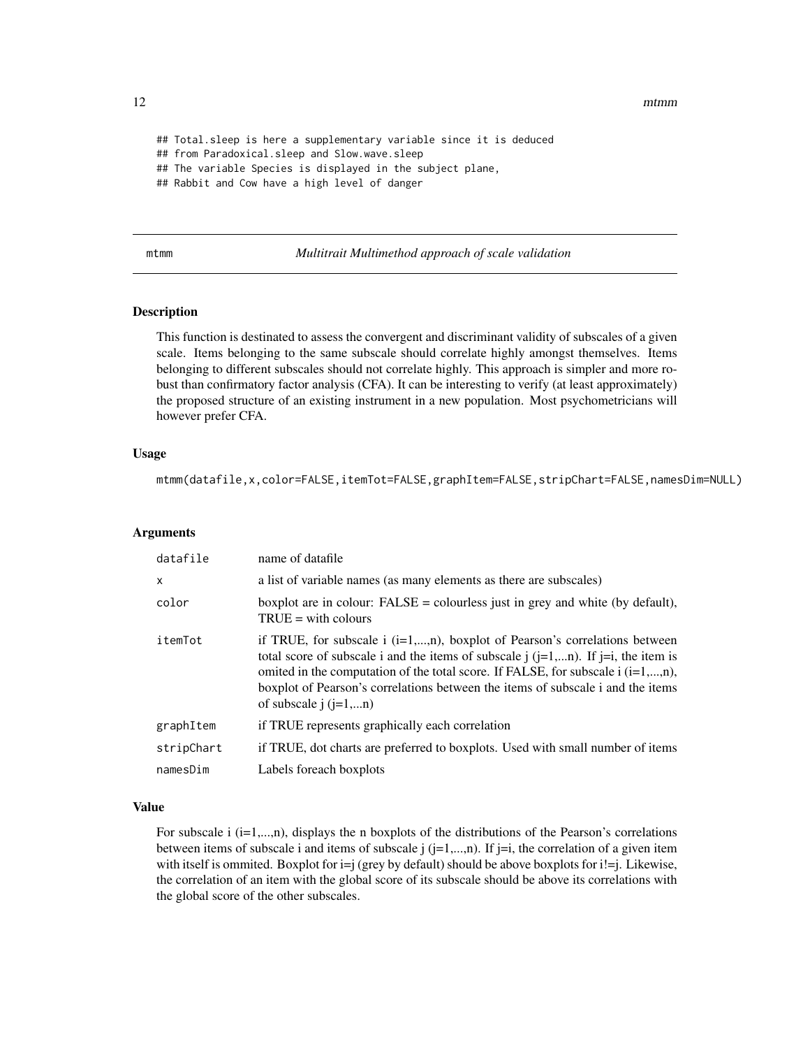<span id="page-11-0"></span>12 mtmm m

## Total.sleep is here a supplementary variable since it is deduced ## from Paradoxical.sleep and Slow.wave.sleep ## The variable Species is displayed in the subject plane, ## Rabbit and Cow have a high level of danger

#### mtmm *Multitrait Multimethod approach of scale validation*

# Description

This function is destinated to assess the convergent and discriminant validity of subscales of a given scale. Items belonging to the same subscale should correlate highly amongst themselves. Items belonging to different subscales should not correlate highly. This approach is simpler and more robust than confirmatory factor analysis (CFA). It can be interesting to verify (at least approximately) the proposed structure of an existing instrument in a new population. Most psychometricians will however prefer CFA.

#### Usage

mtmm(datafile,x,color=FALSE,itemTot=FALSE,graphItem=FALSE,stripChart=FALSE,namesDim=NULL)

#### Arguments

| datafile   | name of datafile                                                                                                                                                                                                                                                                                                                                                                        |
|------------|-----------------------------------------------------------------------------------------------------------------------------------------------------------------------------------------------------------------------------------------------------------------------------------------------------------------------------------------------------------------------------------------|
| X          | a list of variable names (as many elements as there are subscales)                                                                                                                                                                                                                                                                                                                      |
| color      | boxplot are in colour: $FALSE = colourless$ just in grey and white (by default),<br>$TRUE = with colours$                                                                                                                                                                                                                                                                               |
| itemTot    | if TRUE, for subscale $i$ ( $i=1,,n$ ), boxplot of Pearson's correlations between<br>total score of subscale i and the items of subscale $j$ ( $j=1,n$ ). If $j=i$ , the item is<br>omited in the computation of the total score. If FALSE, for subscale $i$ ( $i=1,,n$ ),<br>boxplot of Pearson's correlations between the items of subscale i and the items<br>of subscale $i(i=1,n)$ |
| graphItem  | if TRUE represents graphically each correlation                                                                                                                                                                                                                                                                                                                                         |
| stripChart | if TRUE, dot charts are preferred to boxplots. Used with small number of items                                                                                                                                                                                                                                                                                                          |
| namesDim   | Labels foreach boxplots                                                                                                                                                                                                                                                                                                                                                                 |

# Value

For subscale  $i$  ( $i=1,...,n$ ), displays the n boxplots of the distributions of the Pearson's correlations between items of subscale i and items of subscale  $j$  ( $j=1,...,n$ ). If  $j=i$ , the correlation of a given item with itself is ommited. Boxplot for  $i=j$  (grey by default) should be above boxplots for  $i=j$ . Likewise, the correlation of an item with the global score of its subscale should be above its correlations with the global score of the other subscales.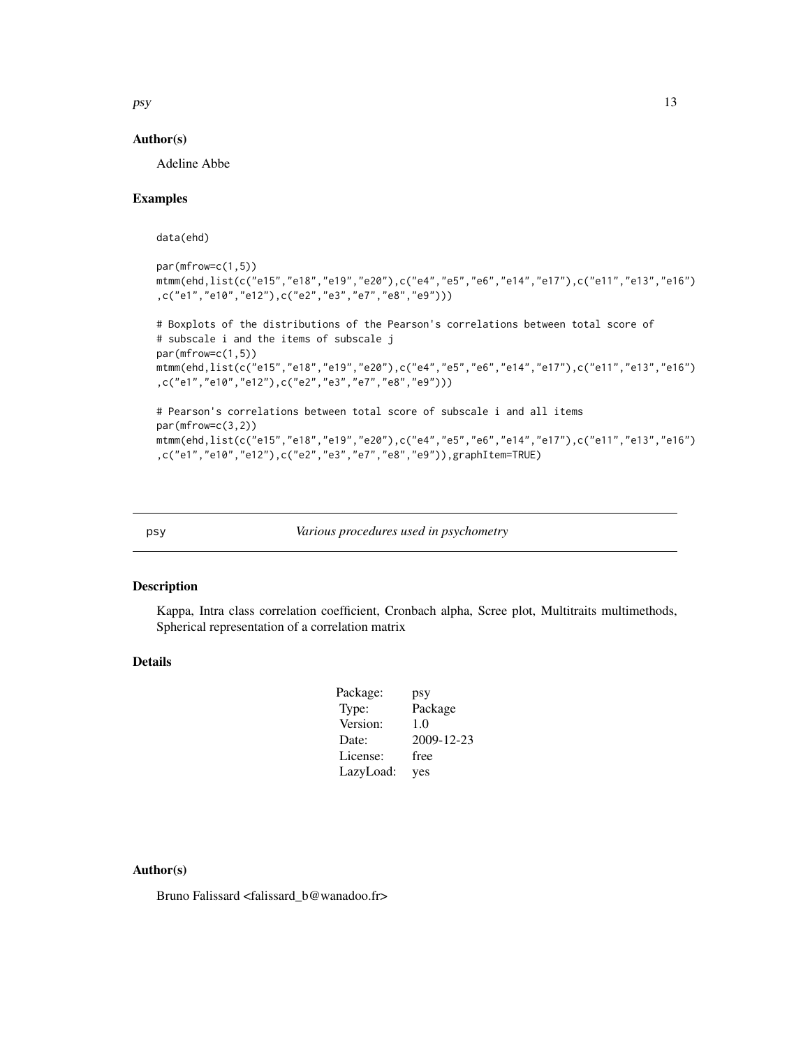<span id="page-12-0"></span>psy and the state of the state of the state of the state of the state of the state of the state of the state of the state of the state of the state of the state of the state of the state of the state of the state of the st

#### Author(s)

Adeline Abbe

# Examples

data(ehd)

```
par(mfrow=c(1,5))
mtmm(ehd,list(c("e15","e18","e19","e20"),c("e4","e5","e6","e14","e17"),c("e11","e13","e16")
,c("e1","e10","e12"),c("e2","e3","e7","e8","e9")))
# Boxplots of the distributions of the Pearson's correlations between total score of
# subscale i and the items of subscale j
par(mfrow=c(1,5))
mtmm(ehd,list(c("e15","e18","e19","e20"),c("e4","e5","e6","e14","e17"),c("e11","e13","e16")
,c("e1","e10","e12"),c("e2","e3","e7","e8","e9")))
# Pearson's correlations between total score of subscale i and all items
par(mfrow=c(3,2))
mtmm(ehd,list(c("e15","e18","e19","e20"),c("e4","e5","e6","e14","e17"),c("e11","e13","e16")
,c("e1","e10","e12"),c("e2","e3","e7","e8","e9")),graphItem=TRUE)
```
psy *Various procedures used in psychometry*

## Description

Kappa, Intra class correlation coefficient, Cronbach alpha, Scree plot, Multitraits multimethods, Spherical representation of a correlation matrix

# Details

| Package:  | psy        |
|-----------|------------|
| Type:     | Package    |
| Version:  | 1.0        |
| Date:     | 2009-12-23 |
| License:  | free       |
| LazyLoad: | yes        |
|           |            |

# Author(s)

Bruno Falissard <falissard\_b@wanadoo.fr>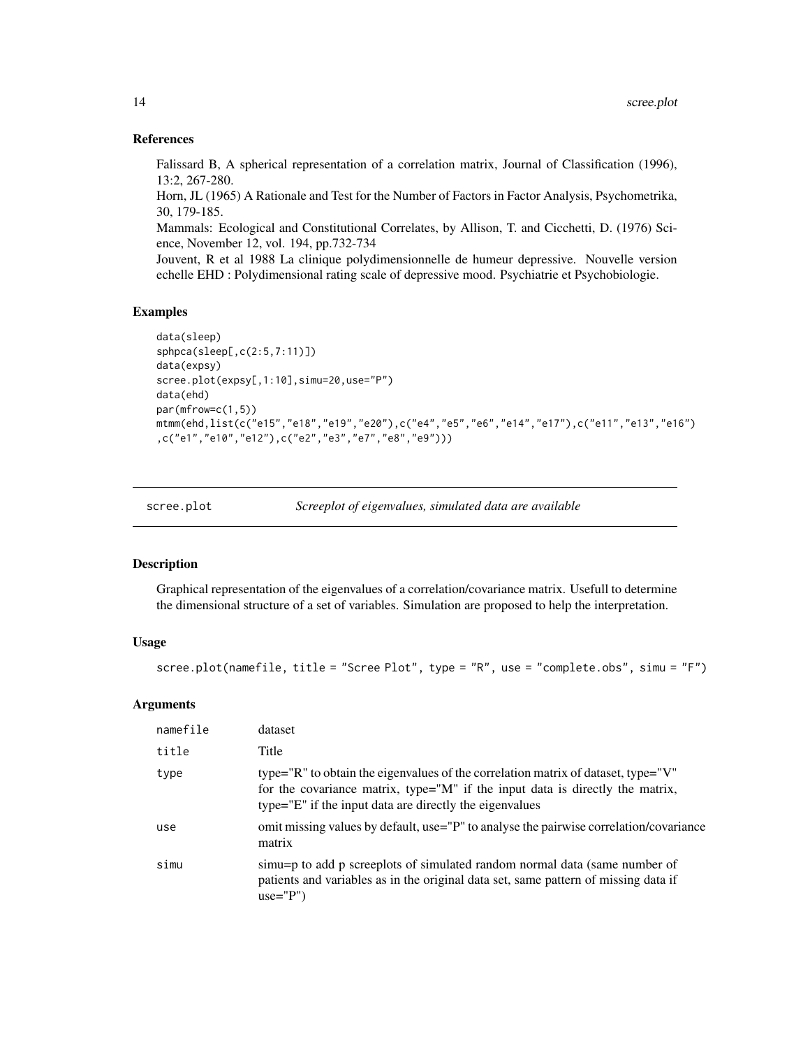#### References

Falissard B, A spherical representation of a correlation matrix, Journal of Classification (1996), 13:2, 267-280.

Horn, JL (1965) A Rationale and Test for the Number of Factors in Factor Analysis, Psychometrika, 30, 179-185.

Mammals: Ecological and Constitutional Correlates, by Allison, T. and Cicchetti, D. (1976) Science, November 12, vol. 194, pp.732-734

Jouvent, R et al 1988 La clinique polydimensionnelle de humeur depressive. Nouvelle version echelle EHD : Polydimensional rating scale of depressive mood. Psychiatrie et Psychobiologie.

# Examples

```
data(sleep)
sphpca(sleep[,c(2:5,7:11)])
data(expsy)
scree.plot(expsy[,1:10],simu=20,use="P")
data(ehd)
par(mfrow=c(1,5))
mtmm(ehd,list(c("e15","e18","e19","e20"),c("e4","e5","e6","e14","e17"),c("e11","e13","e16")
,c("e1","e10","e12"),c("e2","e3","e7","e8","e9")))
```

| scree.plot | Screeplot of eigenvalues, simulated data are available |
|------------|--------------------------------------------------------|
|            |                                                        |

#### Description

Graphical representation of the eigenvalues of a correlation/covariance matrix. Usefull to determine the dimensional structure of a set of variables. Simulation are proposed to help the interpretation.

#### Usage

```
scree.plot(namefile, title = "Scree Plot", type = "R", use = "complete.obs", simu = "F")
```

| namefile | dataset                                                                                                                                                                                                                       |
|----------|-------------------------------------------------------------------------------------------------------------------------------------------------------------------------------------------------------------------------------|
| title    | Title                                                                                                                                                                                                                         |
| type     | type="R" to obtain the eigenvalues of the correlation matrix of dataset, type="V"<br>for the covariance matrix, type="M" if the input data is directly the matrix,<br>type="E" if the input data are directly the eigenvalues |
| use      | omit missing values by default, use="P" to analyse the pairwise correlation/covariance<br>matrix                                                                                                                              |
| simu     | simu=p to add p screeplots of simulated random normal data (same number of<br>patients and variables as in the original data set, same pattern of missing data if<br>$use="P")$                                               |

<span id="page-13-0"></span>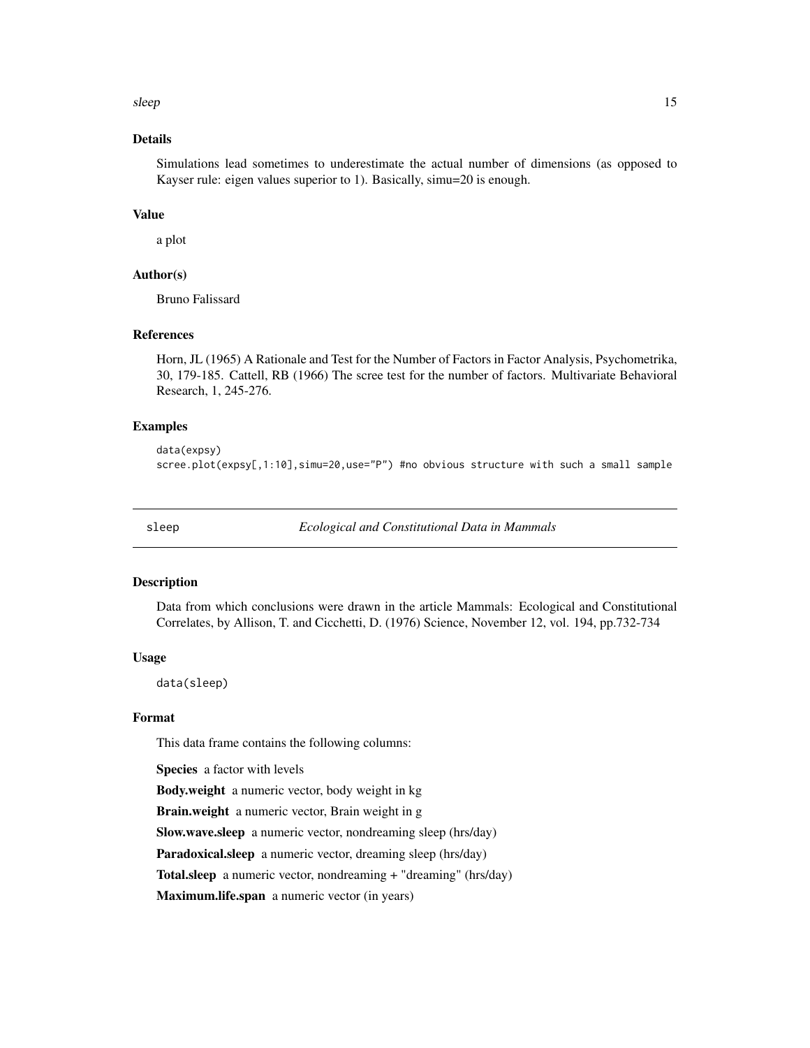<span id="page-14-0"></span>sleep the state of the state of the state of the state of the state of the state of the state of the state of the state of the state of the state of the state of the state of the state of the state of the state of the stat

# Details

Simulations lead sometimes to underestimate the actual number of dimensions (as opposed to Kayser rule: eigen values superior to 1). Basically, simu=20 is enough.

#### Value

a plot

# Author(s)

Bruno Falissard

# References

Horn, JL (1965) A Rationale and Test for the Number of Factors in Factor Analysis, Psychometrika, 30, 179-185. Cattell, RB (1966) The scree test for the number of factors. Multivariate Behavioral Research, 1, 245-276.

#### Examples

data(expsy) scree.plot(expsy[,1:10],simu=20,use="P") #no obvious structure with such a small sample

sleep *Ecological and Constitutional Data in Mammals*

# **Description**

Data from which conclusions were drawn in the article Mammals: Ecological and Constitutional Correlates, by Allison, T. and Cicchetti, D. (1976) Science, November 12, vol. 194, pp.732-734

#### Usage

data(sleep)

# Format

This data frame contains the following columns:

Species a factor with levels

Body.weight a numeric vector, body weight in kg

Brain.weight a numeric vector, Brain weight in g

Slow.wave.sleep a numeric vector, nondreaming sleep (hrs/day)

Paradoxical.sleep a numeric vector, dreaming sleep (hrs/day)

Total.sleep a numeric vector, nondreaming + "dreaming" (hrs/day)

Maximum.life.span a numeric vector (in years)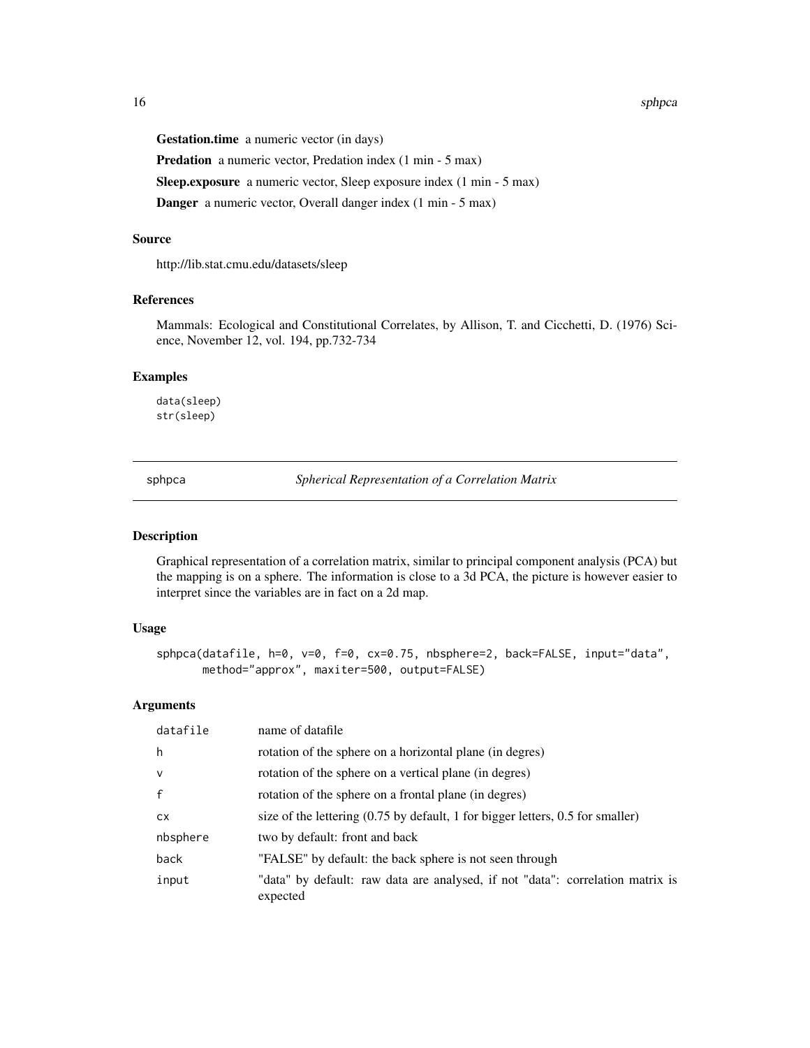#### <span id="page-15-0"></span>16 sphpca sphpca sphpca sphpca sphpca sphpca sphpca sphpca sphpca sphpca sphpca sphpca sphpca sphpca sphpca sphpca sphpca sphpca sphpca sphpca sphpca sphpca sphpca sphpca sphpca sphpca sphpca sphpca sphpca sphpca sphpca sp

Gestation.time a numeric vector (in days)

Predation a numeric vector, Predation index (1 min - 5 max)

Sleep.exposure a numeric vector, Sleep exposure index (1 min - 5 max)

Danger a numeric vector, Overall danger index (1 min - 5 max)

# Source

http://lib.stat.cmu.edu/datasets/sleep

# References

Mammals: Ecological and Constitutional Correlates, by Allison, T. and Cicchetti, D. (1976) Science, November 12, vol. 194, pp.732-734

#### Examples

data(sleep) str(sleep)

sphpca *Spherical Representation of a Correlation Matrix*

## Description

Graphical representation of a correlation matrix, similar to principal component analysis (PCA) but the mapping is on a sphere. The information is close to a 3d PCA, the picture is however easier to interpret since the variables are in fact on a 2d map.

#### Usage

```
sphpca(datafile, h=0, v=0, f=0, cx=0.75, nbsphere=2, back=FALSE, input="data",
      method="approx", maxiter=500, output=FALSE)
```

| datafile     | name of datafile                                                                                         |
|--------------|----------------------------------------------------------------------------------------------------------|
| h            | rotation of the sphere on a horizontal plane (in degres)                                                 |
| $\mathsf{v}$ | rotation of the sphere on a vertical plane (in degres)                                                   |
| $\mathsf{f}$ | rotation of the sphere on a frontal plane (in degres)                                                    |
| <b>CX</b>    | size of the lettering $(0.75 \text{ by default}, 1 \text{ for bigger letters}, 0.5 \text{ for smaller})$ |
| nbsphere     | two by default: front and back                                                                           |
| back         | "FALSE" by default: the back sphere is not seen through                                                  |
| input        | "data" by default: raw data are analysed, if not "data": correlation matrix is<br>expected               |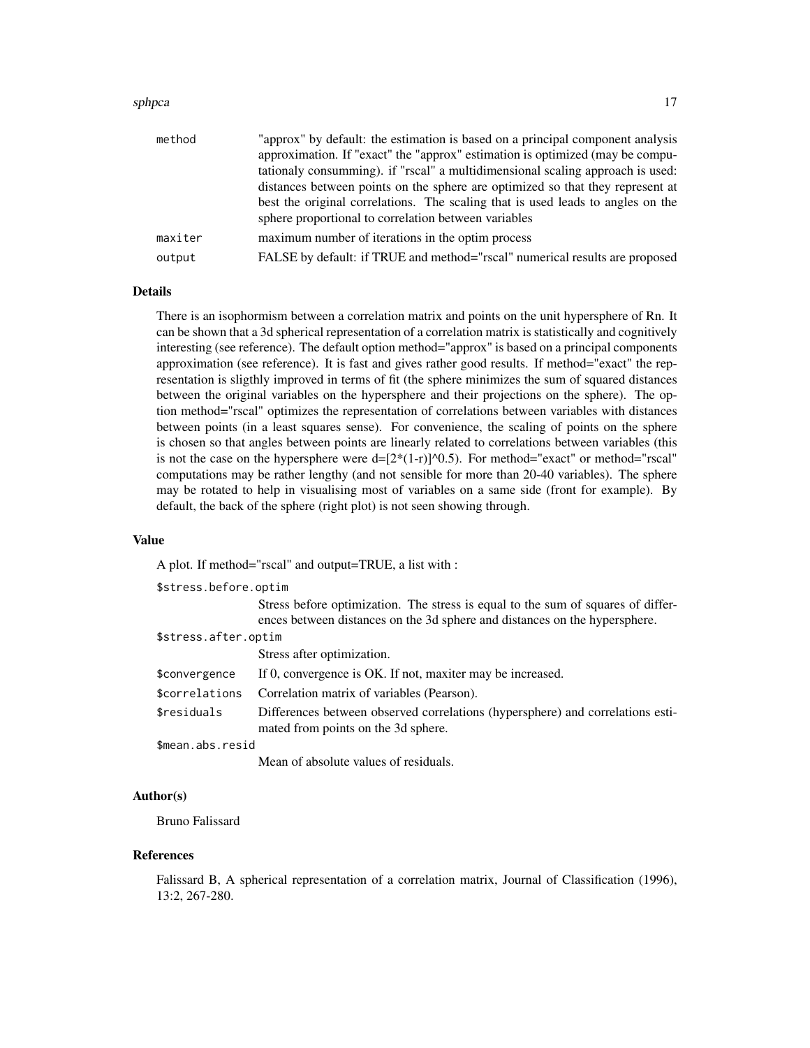#### sphpca and the state of the state of the state of the state of the state of the state of the state of the state of the state of the state of the state of the state of the state of the state of the state of the state of the

| method  | "approx" by default: the estimation is based on a principal component analysis<br>approximation. If "exact" the "approx" estimation is optimized (may be compu-<br>tationaly consumming). if "rscal" a multidimensional scaling approach is used:<br>distances between points on the sphere are optimized so that they represent at |
|---------|-------------------------------------------------------------------------------------------------------------------------------------------------------------------------------------------------------------------------------------------------------------------------------------------------------------------------------------|
|         | best the original correlations. The scaling that is used leads to angles on the<br>sphere proportional to correlation between variables                                                                                                                                                                                             |
| maxiter | maximum number of iterations in the optim process                                                                                                                                                                                                                                                                                   |
| output  | FALSE by default: if TRUE and method="rscal" numerical results are proposed                                                                                                                                                                                                                                                         |

# Details

There is an isophormism between a correlation matrix and points on the unit hypersphere of Rn. It can be shown that a 3d spherical representation of a correlation matrix is statistically and cognitively interesting (see reference). The default option method="approx" is based on a principal components approximation (see reference). It is fast and gives rather good results. If method="exact" the representation is sligthly improved in terms of fit (the sphere minimizes the sum of squared distances between the original variables on the hypersphere and their projections on the sphere). The option method="rscal" optimizes the representation of correlations between variables with distances between points (in a least squares sense). For convenience, the scaling of points on the sphere is chosen so that angles between points are linearly related to correlations between variables (this is not the case on the hypersphere were  $d=[2*(1-r)]^{\wedge}0.5$ . For method="exact" or method="rscal" computations may be rather lengthy (and not sensible for more than 20-40 variables). The sphere may be rotated to help in visualising most of variables on a same side (front for example). By default, the back of the sphere (right plot) is not seen showing through.

#### Value

A plot. If method="rscal" and output=TRUE, a list with :

| \$stress.before.optim |                                                                                                                                                                |
|-----------------------|----------------------------------------------------------------------------------------------------------------------------------------------------------------|
|                       | Stress before optimization. The stress is equal to the sum of squares of differ-<br>ences between distances on the 3d sphere and distances on the hypersphere. |
| \$stress.after.optim  |                                                                                                                                                                |
|                       | Stress after optimization.                                                                                                                                     |
| \$convergence         | If 0, convergence is OK. If not, maxiter may be increased.                                                                                                     |
| \$correlations        | Correlation matrix of variables (Pearson).                                                                                                                     |
| \$residuals           | Differences between observed correlations (hypersphere) and correlations esti-<br>mated from points on the 3d sphere.                                          |
| \$mean.abs.resid      |                                                                                                                                                                |
|                       | Mean of absolute values of residuals.                                                                                                                          |

#### Author(s)

Bruno Falissard

#### References

Falissard B, A spherical representation of a correlation matrix, Journal of Classification (1996), 13:2, 267-280.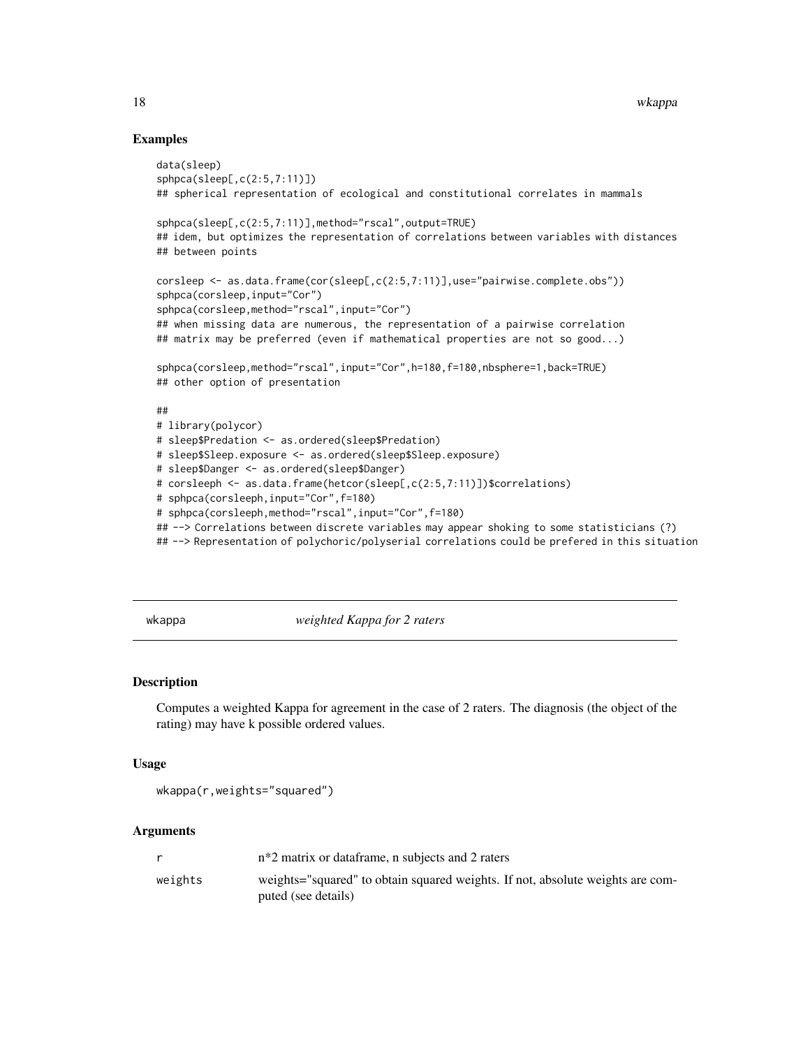#### Examples

```
data(sleep)
sphpca(sleep[,c(2:5,7:11)])
## spherical representation of ecological and constitutional correlates in mammals
sphpca(sleep[,c(2:5,7:11)],method="rscal",output=TRUE)
## idem, but optimizes the representation of correlations between variables with distances
## between points
corsleep <- as.data.frame(cor(sleep[,c(2:5,7:11)],use="pairwise.complete.obs"))
sphpca(corsleep,input="Cor")
sphpca(corsleep,method="rscal",input="Cor")
## when missing data are numerous, the representation of a pairwise correlation
## matrix may be preferred (even if mathematical properties are not so good...)
sphpca(corsleep,method="rscal",input="Cor",h=180,f=180,nbsphere=1,back=TRUE)
## other option of presentation
##
# library(polycor)
# sleep$Predation <- as.ordered(sleep$Predation)
# sleep$Sleep.exposure <- as.ordered(sleep$Sleep.exposure)
# sleep$Danger <- as.ordered(sleep$Danger)
# corsleeph <- as.data.frame(hetcor(sleep[,c(2:5,7:11)])$correlations)
# sphpca(corsleeph,input="Cor",f=180)
# sphpca(corsleeph,method="rscal",input="Cor",f=180)
## --> Correlations between discrete variables may appear shoking to some statisticians (?)
## --> Representation of polychoric/polyserial correlations could be prefered in this situation
```
wkappa *weighted Kappa for 2 raters*

#### **Description**

Computes a weighted Kappa for agreement in the case of 2 raters. The diagnosis (the object of the rating) may have k possible ordered values.

#### Usage

```
wkappa(r,weights="squared")
```

|         | $n*2$ matrix or dataframe, n subjects and 2 raters                                                    |
|---------|-------------------------------------------------------------------------------------------------------|
| weights | weights="squared" to obtain squared weights. If not, absolute weights are com-<br>puted (see details) |

<span id="page-17-0"></span>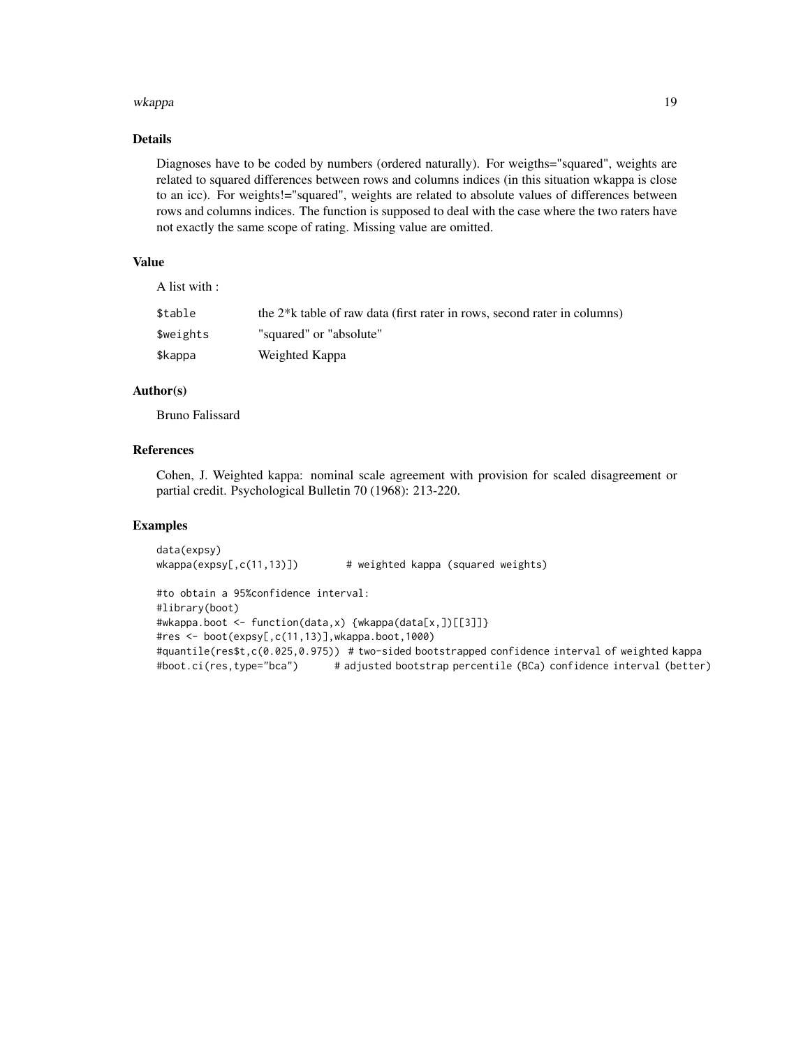#### wkappa 19

# Details

Diagnoses have to be coded by numbers (ordered naturally). For weigths="squared", weights are related to squared differences between rows and columns indices (in this situation wkappa is close to an icc). For weights!="squared", weights are related to absolute values of differences between rows and columns indices. The function is supposed to deal with the case where the two raters have not exactly the same scope of rating. Missing value are omitted.

# Value

A list with :

| \$table   | the 2 <sup>*</sup> k table of raw data (first rater in rows, second rater in columns) |
|-----------|---------------------------------------------------------------------------------------|
| \$weights | "squared" or "absolute"                                                               |
| \$kappa   | Weighted Kappa                                                                        |

# Author(s)

Bruno Falissard

# References

Cohen, J. Weighted kappa: nominal scale agreement with provision for scaled disagreement or partial credit. Psychological Bulletin 70 (1968): 213-220.

```
data(expsy)
wkappa(expsy[,c(11,13)]) # weighted kappa (squared weights)
#to obtain a 95%confidence interval:
#library(boot)
#wkappa.boot <- function(data,x) {wkappa(data[x,])[[3]]}
#res <- boot(expsy[,c(11,13)],wkappa.boot,1000)
#quantile(res$t,c(0.025,0.975)) # two-sided bootstrapped confidence interval of weighted kappa
#boot.ci(res,type="bca") # adjusted bootstrap percentile (BCa) confidence interval (better)
```